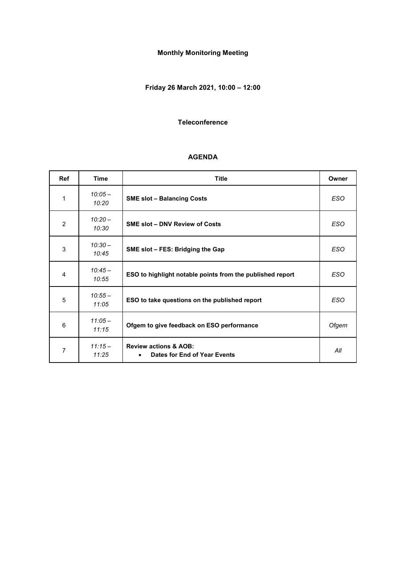# **Monthly Monitoring Meeting**

# **Friday 26 March 2021, 10:00 – 12:00**

#### **Teleconference**

#### **AGENDA**

| <b>Ref</b> | <b>Time</b>        | <b>Title</b>                                                     |            |  |  |
|------------|--------------------|------------------------------------------------------------------|------------|--|--|
| 1          | $10:05 -$<br>10:20 | <b>SME slot - Balancing Costs</b>                                | <b>ESO</b> |  |  |
| 2          | $10:20 -$<br>10:30 | <b>SME slot - DNV Review of Costs</b>                            | <b>ESO</b> |  |  |
| 3          | $10:30 -$<br>10:45 | SME slot - FES: Bridging the Gap                                 | <b>ESO</b> |  |  |
| 4          | $10:45-$<br>10:55  | ESO to highlight notable points from the published report        | <b>ESO</b> |  |  |
| 5          | $10:55 -$<br>11:05 | ESO to take questions on the published report                    | <b>ESO</b> |  |  |
| 6          | $11:05-$<br>11:15  | Ofgem to give feedback on ESO performance                        | Ofgem      |  |  |
| 7          | $11:15-$<br>11:25  | <b>Review actions &amp; AOB:</b><br>Dates for End of Year Events | All        |  |  |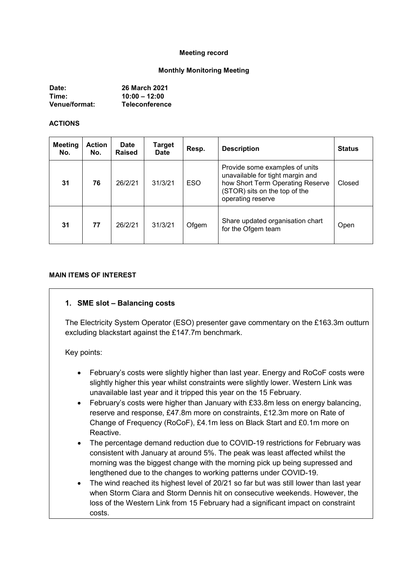#### **Meeting record**

#### **Monthly Monitoring Meeting**

| Date:                | <b>26 March 2021</b>  |
|----------------------|-----------------------|
| Time:                | $10:00 - 12:00$       |
| <b>Venue/format:</b> | <b>Teleconference</b> |

#### **ACTIONS**

| <b>Meeting</b><br>No. | <b>Action</b><br>No. | <b>Date</b><br><b>Raised</b> | <b>Target</b><br><b>Date</b> | Resp.      | <b>Description</b>                                                                                                                                           | <b>Status</b> |
|-----------------------|----------------------|------------------------------|------------------------------|------------|--------------------------------------------------------------------------------------------------------------------------------------------------------------|---------------|
| 31                    | 76                   | 26/2/21                      | 31/3/21                      | <b>ESO</b> | Provide some examples of units<br>unavailable for tight margin and<br>how Short Term Operating Reserve<br>(STOR) sits on the top of the<br>operating reserve | Closed        |
| 31                    | 77                   | 26/2/21                      | 31/3/21                      | Ofgem      | Share updated organisation chart<br>for the Ofgem team                                                                                                       | Open          |

#### **MAIN ITEMS OF INTEREST**

#### **1. SME slot – Balancing costs**

The Electricity System Operator (ESO) presenter gave commentary on the £163.3m outturn excluding blackstart against the £147.7m benchmark.

Key points:

- February's costs were slightly higher than last year. Energy and RoCoF costs were slightly higher this year whilst constraints were slightly lower. Western Link was unavailable last year and it tripped this year on the 15 February.
- February's costs were higher than January with £33.8m less on energy balancing, reserve and response, £47.8m more on constraints, £12.3m more on Rate of Change of Frequency (RoCoF), £4.1m less on Black Start and £0.1m more on Reactive.
- The percentage demand reduction due to COVID-19 restrictions for February was consistent with January at around 5%. The peak was least affected whilst the morning was the biggest change with the morning pick up being supressed and lengthened due to the changes to working patterns under COVID-19.
- The wind reached its highest level of 20/21 so far but was still lower than last year when Storm Ciara and Storm Dennis hit on consecutive weekends. However, the loss of the Western Link from 15 February had a significant impact on constraint costs.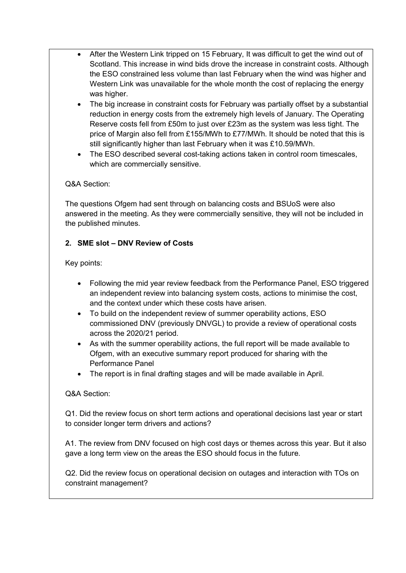- After the Western Link tripped on 15 February, It was difficult to get the wind out of Scotland. This increase in wind bids drove the increase in constraint costs. Although the ESO constrained less volume than last February when the wind was higher and Western Link was unavailable for the whole month the cost of replacing the energy was higher.
- The big increase in constraint costs for February was partially offset by a substantial reduction in energy costs from the extremely high levels of January. The Operating Reserve costs fell from £50m to just over £23m as the system was less tight. The price of Margin also fell from £155/MWh to £77/MWh. It should be noted that this is still significantly higher than last February when it was £10.59/MWh.
- The ESO described several cost-taking actions taken in control room timescales, which are commercially sensitive.

### Q&A Section:

The questions Ofgem had sent through on balancing costs and BSUoS were also answered in the meeting. As they were commercially sensitive, they will not be included in the published minutes.

## **2. SME slot – DNV Review of Costs**

### Key points:

- Following the mid year review feedback from the Performance Panel, ESO triggered an independent review into balancing system costs, actions to minimise the cost, and the context under which these costs have arisen.
- To build on the independent review of summer operability actions, ESO commissioned DNV (previously DNVGL) to provide a review of operational costs across the 2020/21 period.
- As with the summer operability actions, the full report will be made available to Ofgem, with an executive summary report produced for sharing with the Performance Panel
- The report is in final drafting stages and will be made available in April.

### Q&A Section:

Q1. Did the review focus on short term actions and operational decisions last year or start to consider longer term drivers and actions?

A1. The review from DNV focused on high cost days or themes across this year. But it also gave a long term view on the areas the ESO should focus in the future.

Q2. Did the review focus on operational decision on outages and interaction with TOs on constraint management?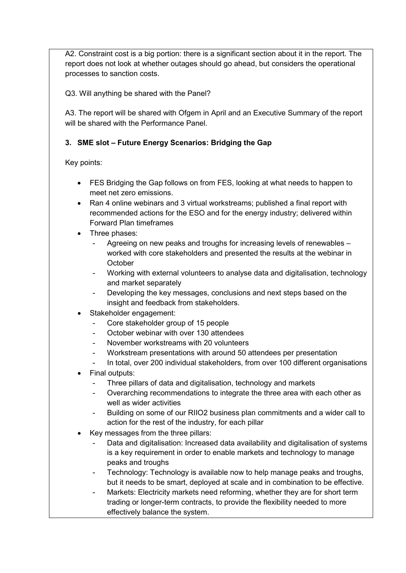A2. Constraint cost is a big portion: there is a significant section about it in the report. The report does not look at whether outages should go ahead, but considers the operational processes to sanction costs.

Q3. Will anything be shared with the Panel?

A3. The report will be shared with Ofgem in April and an Executive Summary of the report will be shared with the Performance Panel

## **3. SME slot – Future Energy Scenarios: Bridging the Gap**

Key points:

- FES Bridging the Gap follows on from FES, looking at what needs to happen to meet net zero emissions.
- Ran 4 online webinars and 3 virtual workstreams; published a final report with recommended actions for the ESO and for the energy industry; delivered within Forward Plan timeframes
- Three phases:
	- Agreeing on new peaks and troughs for increasing levels of renewables worked with core stakeholders and presented the results at the webinar in **October**
	- Working with external volunteers to analyse data and digitalisation, technology and market separately
	- Developing the key messages, conclusions and next steps based on the insight and feedback from stakeholders.
- Stakeholder engagement:
	- Core stakeholder group of 15 people
	- October webinar with over 130 attendees
	- November workstreams with 20 volunteers
	- Workstream presentations with around 50 attendees per presentation
	- In total, over 200 individual stakeholders, from over 100 different organisations
- Final outputs:
	- Three pillars of data and digitalisation, technology and markets
	- Overarching recommendations to integrate the three area with each other as well as wider activities
	- Building on some of our RIIO2 business plan commitments and a wider call to action for the rest of the industry, for each pillar
- Key messages from the three pillars:
	- Data and digitalisation: Increased data availability and digitalisation of systems is a key requirement in order to enable markets and technology to manage peaks and troughs
	- Technology: Technology is available now to help manage peaks and troughs, but it needs to be smart, deployed at scale and in combination to be effective.
	- Markets: Electricity markets need reforming, whether they are for short term trading or longer-term contracts, to provide the flexibility needed to more effectively balance the system.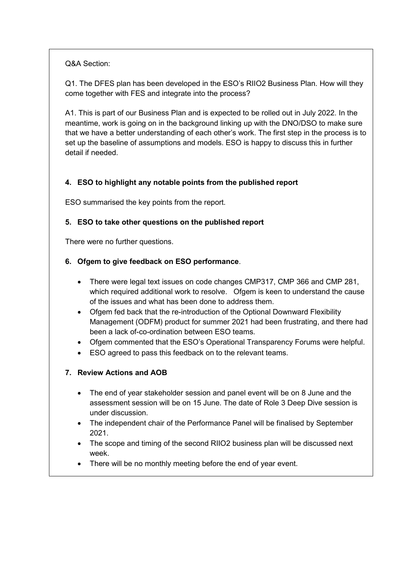Q&A Section:

Q1. The DFES plan has been developed in the ESO's RIIO2 Business Plan. How will they come together with FES and integrate into the process?

A1. This is part of our Business Plan and is expected to be rolled out in July 2022. In the meantime, work is going on in the background linking up with the DNO/DSO to make sure that we have a better understanding of each other's work. The first step in the process is to set up the baseline of assumptions and models. ESO is happy to discuss this in further detail if needed.

## **4. ESO to highlight any notable points from the published report**

ESO summarised the key points from the report.

## **5. ESO to take other questions on the published report**

There were no further questions.

## **6. Ofgem to give feedback on ESO performance**.

- There were legal text issues on code changes CMP317, CMP 366 and CMP 281, which required additional work to resolve. Ofgem is keen to understand the cause of the issues and what has been done to address them.
- Ofgem fed back that the re-introduction of the Optional Downward Flexibility Management (ODFM) product for summer 2021 had been frustrating, and there had been a lack of-co-ordination between ESO teams.
- Ofgem commented that the ESO's Operational Transparency Forums were helpful.
- ESO agreed to pass this feedback on to the relevant teams.
- **7. Review Actions and AOB**
	- The end of year stakeholder session and panel event will be on 8 June and the assessment session will be on 15 June. The date of Role 3 Deep Dive session is under discussion.
	- The independent chair of the Performance Panel will be finalised by September 2021.
	- The scope and timing of the second RIIO2 business plan will be discussed next week.
	- There will be no monthly meeting before the end of year event.